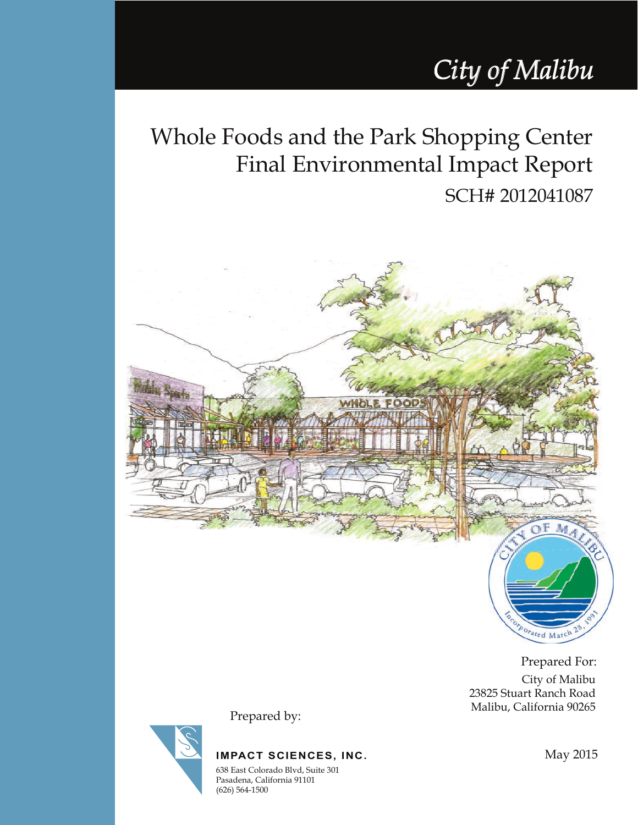# *City of Malibu*

Whole Foods and the Park Shopping Center Final Environmental Impact Report SCH# 2012041087



City of Malibu 23825 Stuart Ranch Road Malibu, California 90265 Prepared For:

Porated March

**IMPACT SCIENCES, INC.**

Prepared by:

638 East Colorado Blvd, Suite 301 Pasadena, California 91101 (626) 564-1500

May 2015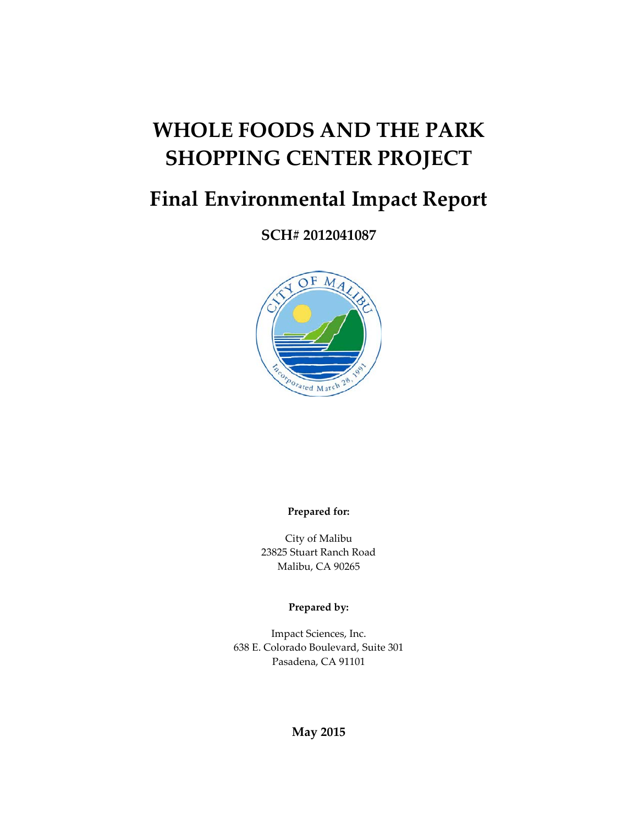# **WHOLE FOODS AND THE PARK SHOPPING CENTER PROJECT**

## **Final Environmental Impact Report**

**SCH# 2012041087**



**Prepared for:**

City of Malibu 23825 Stuart Ranch Road Malibu, CA 90265

**Prepared by:**

Impact Sciences, Inc. 638 E. Colorado Boulevard, Suite 301 Pasadena, CA 91101

#### **May 2015**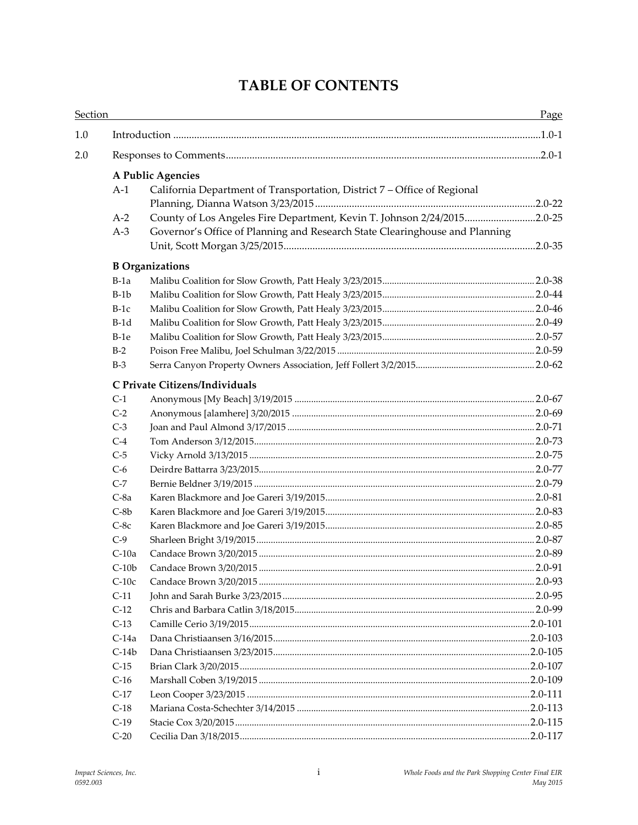### **TABLE OF CONTENTS**

|     | Section |                                                                             |  |  |  |
|-----|---------|-----------------------------------------------------------------------------|--|--|--|
| 1.0 |         |                                                                             |  |  |  |
| 2.0 |         |                                                                             |  |  |  |
|     |         | A Public Agencies                                                           |  |  |  |
|     | $A-1$   | California Department of Transportation, District 7 – Office of Regional    |  |  |  |
|     |         |                                                                             |  |  |  |
|     | $A-2$   | County of Los Angeles Fire Department, Kevin T. Johnson 2/24/20152.0-25     |  |  |  |
|     | $A-3$   | Governor's Office of Planning and Research State Clearinghouse and Planning |  |  |  |
|     |         |                                                                             |  |  |  |
|     |         | <b>B</b> Organizations                                                      |  |  |  |
|     | $B-1a$  |                                                                             |  |  |  |
|     | $B-1b$  |                                                                             |  |  |  |
|     | $B-1c$  |                                                                             |  |  |  |
|     | $B-1d$  |                                                                             |  |  |  |
|     | $B-1e$  |                                                                             |  |  |  |
|     | $B-2$   |                                                                             |  |  |  |
|     | $B-3$   |                                                                             |  |  |  |
|     |         | C Private Citizens/Individuals                                              |  |  |  |
|     | $C-1$   |                                                                             |  |  |  |
|     | $C-2$   |                                                                             |  |  |  |
|     | $C-3$   |                                                                             |  |  |  |
|     | $C-4$   |                                                                             |  |  |  |
|     | $C-5$   |                                                                             |  |  |  |
|     | $C-6$   |                                                                             |  |  |  |
|     | $C-7$   |                                                                             |  |  |  |
|     | $C-8a$  |                                                                             |  |  |  |
|     | $C-8b$  |                                                                             |  |  |  |
|     | $C-8c$  |                                                                             |  |  |  |
|     | $C-9$   |                                                                             |  |  |  |
|     | $C-10a$ |                                                                             |  |  |  |
|     | $C-10b$ |                                                                             |  |  |  |
|     | $C-10c$ |                                                                             |  |  |  |
|     | $C-11$  |                                                                             |  |  |  |
|     | $C-12$  |                                                                             |  |  |  |
|     | $C-13$  |                                                                             |  |  |  |
|     | $C-14a$ |                                                                             |  |  |  |
|     | $C-14b$ |                                                                             |  |  |  |
|     | $C-15$  |                                                                             |  |  |  |
|     | $C-16$  |                                                                             |  |  |  |
|     | $C-17$  |                                                                             |  |  |  |
|     | $C-18$  |                                                                             |  |  |  |
|     | $C-19$  |                                                                             |  |  |  |
|     | $C-20$  |                                                                             |  |  |  |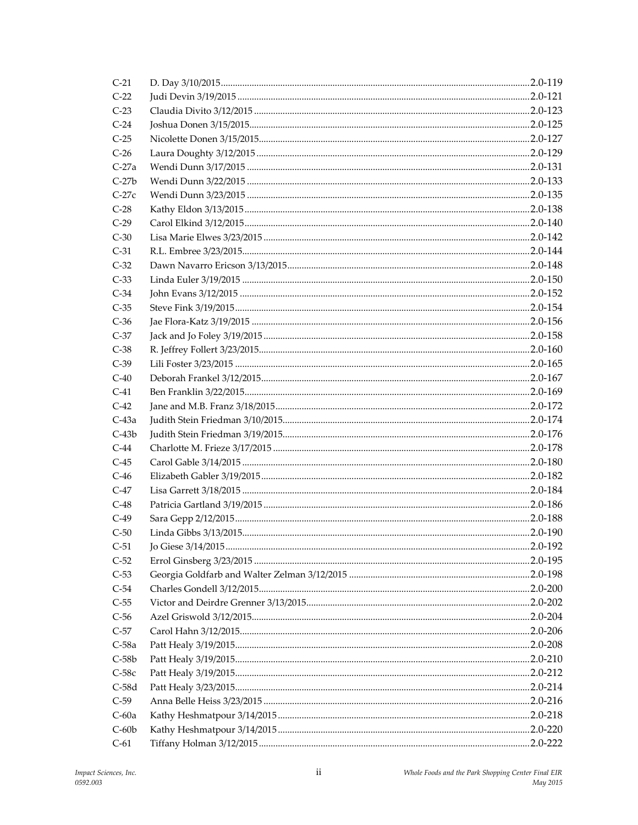| $C-21$  |  |
|---------|--|
| $C-22$  |  |
| $C-23$  |  |
| $C-24$  |  |
| $C-25$  |  |
| $C-26$  |  |
| $C-27a$ |  |
| $C-27b$ |  |
| $C-27c$ |  |
| $C-28$  |  |
| $C-29$  |  |
| $C-30$  |  |
| $C-31$  |  |
| $C-32$  |  |
| $C-33$  |  |
| $C-34$  |  |
| $C-35$  |  |
| $C-36$  |  |
| $C-37$  |  |
| $C-38$  |  |
| $C-39$  |  |
| $C-40$  |  |
| $C-41$  |  |
| $C-42$  |  |
| $C-43a$ |  |
| $C-43b$ |  |
| $C-44$  |  |
| $C-45$  |  |
| $C-46$  |  |
| $C-47$  |  |
| $C-48$  |  |
| $C-49$  |  |
| $C-50$  |  |
| $C-51$  |  |
| $C-52$  |  |
| $C-53$  |  |
| $C-54$  |  |
| $C-55$  |  |
| $C-56$  |  |
| $C-57$  |  |
| $C-58a$ |  |
| $C-58b$ |  |
| $C-58c$ |  |
| $C-58d$ |  |
| $C-59$  |  |
| $C-60a$ |  |
| $C-60b$ |  |
| $C-61$  |  |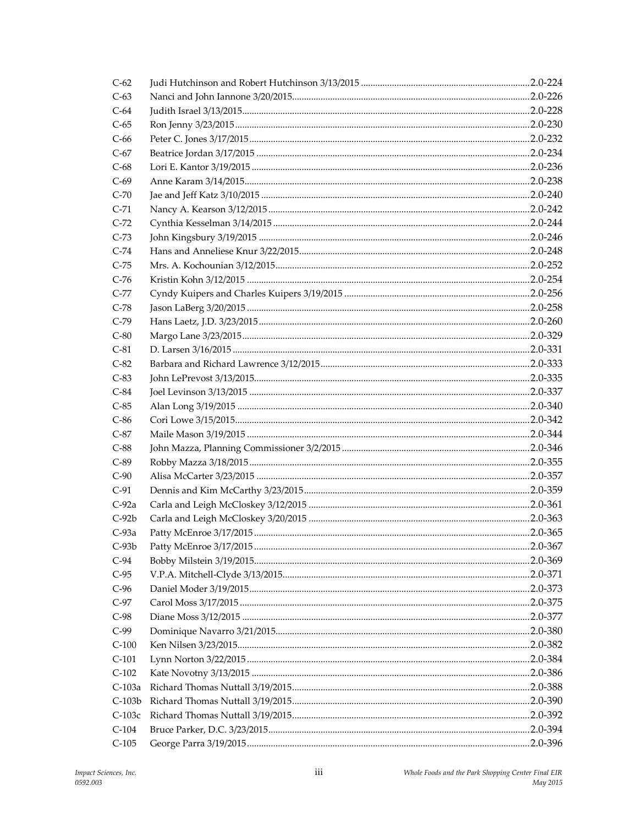| $C-62$   |  |
|----------|--|
| $C-63$   |  |
| $C-64$   |  |
| $C-65$   |  |
| $C-66$   |  |
| $C-67$   |  |
| $C-68$   |  |
| $C-69$   |  |
| $C-70$   |  |
| $C-71$   |  |
| $C-72$   |  |
| $C-73$   |  |
| $C-74$   |  |
| $C-75$   |  |
| $C-76$   |  |
| $C-77$   |  |
| $C-78$   |  |
| $C-79$   |  |
| $C-80$   |  |
| $C-81$   |  |
| $C-82$   |  |
| $C-83$   |  |
| $C-84$   |  |
| $C-85$   |  |
| $C-86$   |  |
| $C-87$   |  |
| $C-88$   |  |
| $C-89$   |  |
| $C-90$   |  |
| $C-91$   |  |
| $C-92a$  |  |
| $C-92b$  |  |
| $C-93a$  |  |
| $C-93b$  |  |
| $C-94$   |  |
| $C-95$   |  |
| $C-96$   |  |
| $C-97$   |  |
| $C-98$   |  |
| $C-99$   |  |
| $C-100$  |  |
| $C-101$  |  |
| $C-102$  |  |
| $C-103a$ |  |
| $C-103b$ |  |
| $C-103c$ |  |
| $C-104$  |  |
| $C-105$  |  |
|          |  |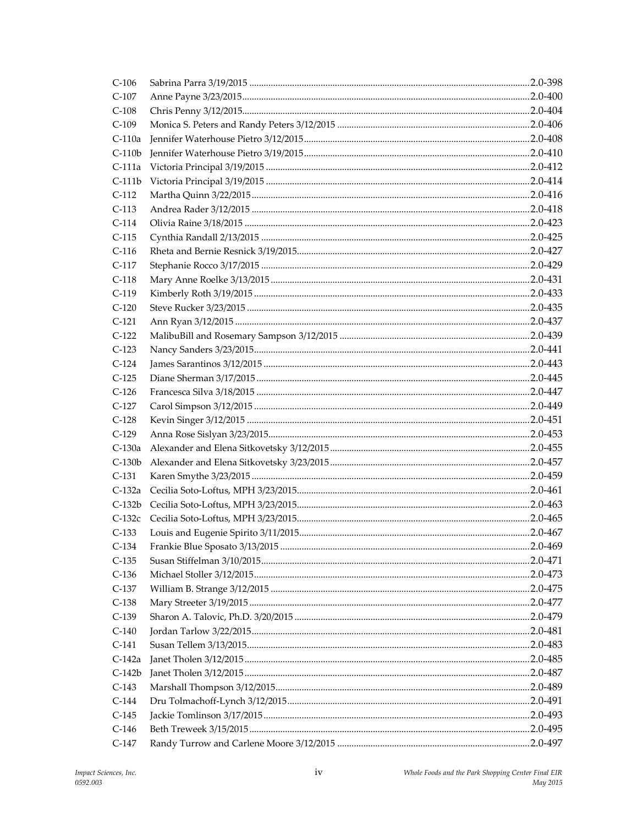| $C-106$  |  |
|----------|--|
| $C-107$  |  |
| $C-108$  |  |
| $C-109$  |  |
| $C-110a$ |  |
| $C-110b$ |  |
| $C-111a$ |  |
| $C-111b$ |  |
| $C-112$  |  |
| $C-113$  |  |
| $C-114$  |  |
| $C-115$  |  |
| $C-116$  |  |
| C-117    |  |
| $C-118$  |  |
| $C-119$  |  |
| $C-120$  |  |
| $C-121$  |  |
| $C-122$  |  |
| $C-123$  |  |
| $C-124$  |  |
| $C-125$  |  |
| $C-126$  |  |
| $C-127$  |  |
| $C-128$  |  |
| $C-129$  |  |
| $C-130a$ |  |
| $C-130b$ |  |
| $C-131$  |  |
| $C-132a$ |  |
| $C-132b$ |  |
| C-132c   |  |
| $C-133$  |  |
| C-134    |  |
| $C-135$  |  |
| $C-136$  |  |
| $C-137$  |  |
| $C-138$  |  |
| $C-139$  |  |
| $C-140$  |  |
| $C-141$  |  |
| $C-142a$ |  |
| $C-142b$ |  |
| $C-143$  |  |
| $C-144$  |  |
| $C-145$  |  |
| $C-146$  |  |
| $C-147$  |  |
|          |  |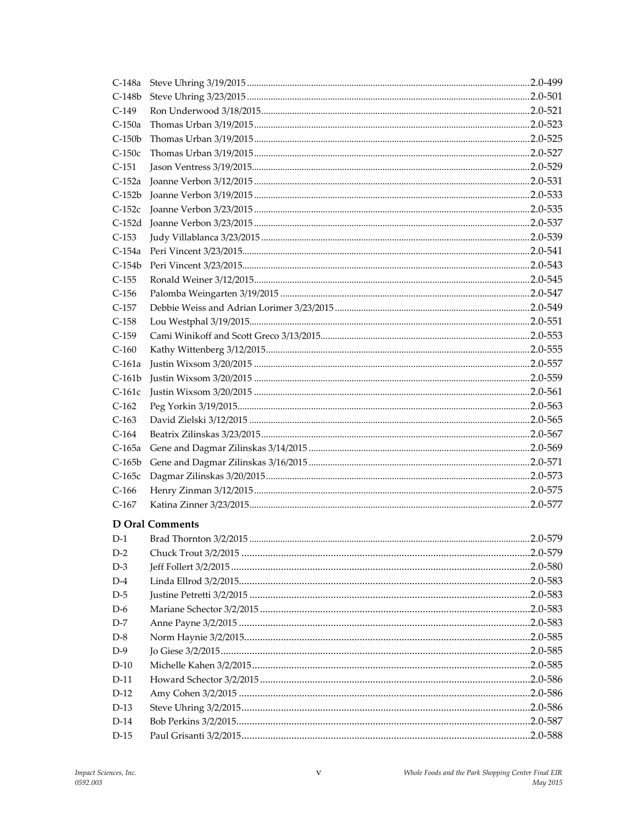| $C-148a$ |                        |  |
|----------|------------------------|--|
| $C-148b$ |                        |  |
| $C-149$  |                        |  |
| $C-150a$ |                        |  |
| $C-150b$ |                        |  |
| $C-150c$ |                        |  |
| $C-151$  |                        |  |
| $C-152a$ |                        |  |
| $C-152b$ |                        |  |
| $C-152c$ |                        |  |
| $C-152d$ |                        |  |
| $C-153$  |                        |  |
| $C-154a$ |                        |  |
| $C-154b$ |                        |  |
| $C-155$  |                        |  |
| $C-156$  |                        |  |
| $C-157$  |                        |  |
| $C-158$  |                        |  |
| $C-159$  |                        |  |
| $C-160$  |                        |  |
| $C-161a$ |                        |  |
| $C-161b$ |                        |  |
| $C-161c$ |                        |  |
| $C-162$  |                        |  |
| $C-163$  |                        |  |
| $C-164$  |                        |  |
| $C-165a$ |                        |  |
| $C-165b$ |                        |  |
| $C-165c$ |                        |  |
| $C-166$  |                        |  |
| $C-167$  |                        |  |
|          |                        |  |
|          | <b>D</b> Oral Comments |  |
| $D-1$    |                        |  |
| $D-2$    |                        |  |
| $D-3$    |                        |  |
| $D-4$    |                        |  |
| $D-5$    |                        |  |
| $D-6$    |                        |  |
| $D-7$    |                        |  |
| $D-8$    |                        |  |
| $D-9$    |                        |  |
| $D-10$   |                        |  |
| $D-11$   |                        |  |
| $D-12$   |                        |  |
| $D-13$   |                        |  |
| $D-14$   |                        |  |
| D-15     |                        |  |